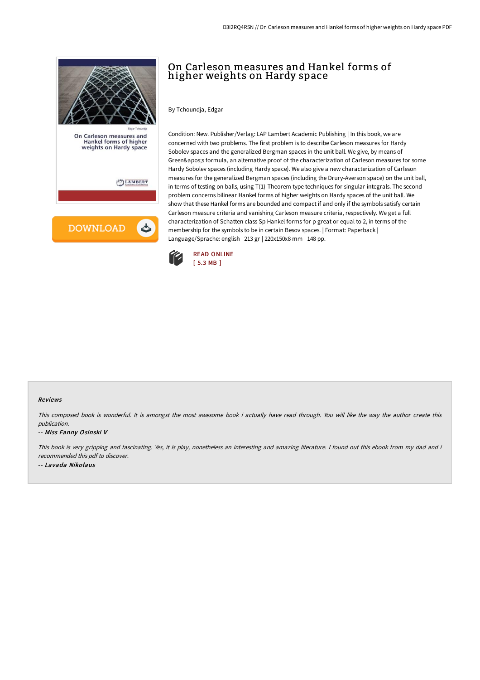

## On Carleson measures and Hankel forms of higher weights on Hardy space

By Tchoundja, Edgar

Condition: New. Publisher/Verlag: LAP Lambert Academic Publishing | In this book, we are concerned with two problems. The first problem is to describe Carleson measures for Hardy Sobolev spaces and the generalized Bergman spaces in the unit ball. We give, by means of Green's formula, an alternative proof of the characterization of Carleson measures for some Hardy Sobolev spaces (including Hardy space). We also give a new characterization of Carleson measures for the generalized Bergman spaces (including the Drury-Averson space) on the unit ball, in terms of testing on balls, using T(1)-Theorem type techniques for singular integrals. The second problem concerns bilinear Hankel forms of higher weights on Hardy spaces of the unit ball. We show that these Hankel forms are bounded and compact if and only if the symbols satisfy certain Carleson measure criteria and vanishing Carleson measure criteria, respectively. We get a full characterization of Schatten class Sp Hankel forms for p great or equal to 2, in terms of the membership for the symbols to be in certain Besov spaces. | Format: Paperback | Language/Sprache: english | 213 gr | 220x150x8 mm | 148 pp.



## Reviews

This composed book is wonderful. It is amongst the most awesome book i actually have read through. You will like the way the author create this publication.

## -- Miss Fanny Osinski V

This book is very gripping and fascinating. Yes, it is play, nonetheless an interesting and amazing literature. <sup>I</sup> found out this ebook from my dad and i recommended this pdf to discover. -- Lavada Nikolaus